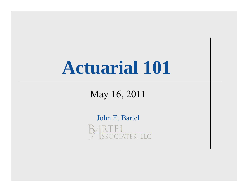# **Actuarial 101**

May 16, 2011

John E. Bartel SSOCIATES, LLC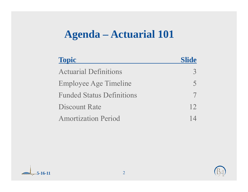### **Agenda – Actuarial 101**

| <b>Topic</b>                     | <b>Slide</b> |
|----------------------------------|--------------|
| <b>Actuarial Definitions</b>     |              |
| Employee Age Timeline            |              |
| <b>Funded Status Definitions</b> |              |
| <b>Discount Rate</b>             | 12           |
| <b>Amortization Period</b>       |              |

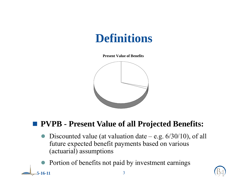**Present Value of Benefits**



#### **PVPB - Present Value of all Projected Benefits:**

- $\bullet$  Discounted value (at valuation date e.g. 6/30/10), of all future expected benefit payments based on various (actuarial) assumptions
- $\bullet$ Portion of benefits not paid by investment earnings

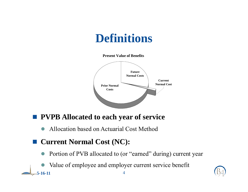**Present Value of Benefits**



#### **PVPB Allocated to each year of service**

 $\bullet$ Allocation based on Actuarial Cost Method

#### ■ Current Normal Cost (NC):

- $\bullet$ Portion of PVB allocated to (or "earned" during) current year
- **5-16-11**1 and  $\overline{4}$  $\bullet$ Value of employee and employer current service benefit

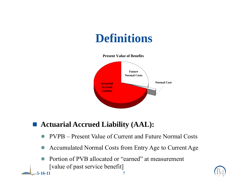

#### ■ **Actuarial Accrued Liability (AAL):**

1 5

- $\bullet$ PVPB – Present Value of Current and Future Normal Costs
- $\bullet$ Accumulated Normal Costs from Entry Age to Current Age
- $\bullet$  Portion of PVB allocated or "earned" at measurement [value of past service benefit]

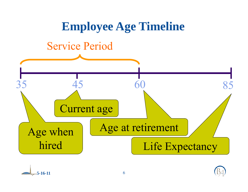

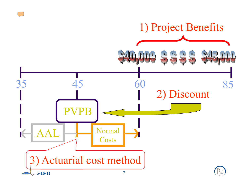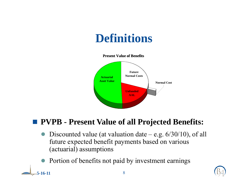**Present Value of Benefits**



#### **PVPB - Present Value of all Projected Benefits:**

- $\bullet$ Discounted value (at valuation date – e.g. 6/30/10), of all future expected benefit payments based on various (actuarial) assumptions
- $\bullet$ Portion of benefits not paid by investment earnings

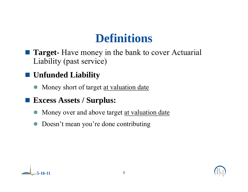- **Target-** Have money in the bank to cover Actuarial Liability (past service)
- **Unfunded Liability**
	- Money short of target at valuation date
- **Excess Assets / Surplus:**
	- $\bullet$ Money over and above target at valuation date
	- $\bullet$ Doesn't mean you're done contributing



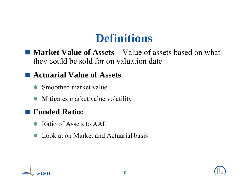■ **Market Value of Assets** – Value of assets based on what they could be sold for on valuation date

#### **Actuarial Value of Assets**

- $\bullet$ Smoothed market value
- $\bullet$ Mitigates market value volatility

#### **Funded Ratio:**

- $\bullet$ Ratio of Assets to AAL
- $\bullet$ Look at on Market and Actuarial basis



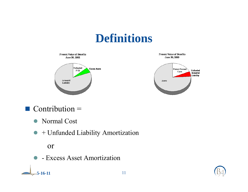

#### $\blacksquare$  Contribution  $\blacksquare$

- Normal Cost
- $\bullet$  + Unfunded Liability Amortization

#### or

**5-16-11**

• Excess Asset Amortization

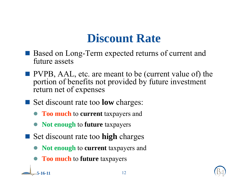# **Discount Rate**

- Based on Long-Term expected returns of current and future assets
- **PVPB, AAL, etc. are meant to be (current value of) the** portion of benefits not provided by future investment return net of expenses
- Set discount rate too **low** charges:
	- **Too much** to **current** taxpayers and
	- $\bullet$ **Not enough** to **future** taxpayers
- Set discount rate too **high** charges
	- $\bullet$ **Not enough** to **current** taxpayers and
	- **Too much** to **future** taxpayers

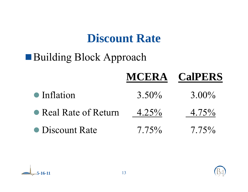# **Discount Rate**

# Building Block Approach

|                       |          | <b>MCERA CalPERS</b> |
|-----------------------|----------|----------------------|
| $\bullet$ Inflation   | $3.50\%$ | $3.00\%$             |
| • Real Rate of Return | $4.25\%$ | $4.75\%$             |
| • Discount Rate       | $7.75\%$ | $7.75\%$             |